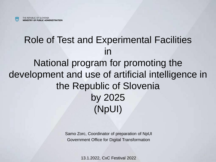## Role of Test and Experimental Facilities in National program for promoting the development and use of artificial intelligence in the Republic of Slovenia by 2025 (NpUI)

Samo Zorc, Coordinator of preparation of NpUI Government Office for Digital Transformation

13.1.2022, CxC Festival 2022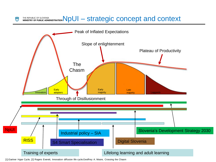### THE REPUBLIC OF SLOVENIA<br>MINISTRY OF PUBLIC ADMINISTRATION NpUI — strategic concept and context



[1]:Gartner Hype Cycle, [2] Rogers Everett, Innovation diffusion life cycle;Geoffrey A. Moore, Crossing the Chasm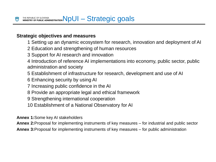#### **Strategic objectives and measures**

1 Setting up an dynamic ecosystem for research, innovation and deployment of AI

- 2 Education and strengthening of human resources
- 3 Support for AI research and innovation

4 Introduction of reference AI implementations into economy, public sector, public administration and society

5 Establishment of infrastructure for research, development and use of AI

6 Enhancing security by using AI

- 7 Increasing public confidence in the AI
- 8 Provide an appropriate legal and ethical framework
- 9 Strengthening international cooperation
- 10 Establishment of a National Observatory for AI

**Annex 1:**Some key AI stakeholders

**Annex 2:**Proposal for implementing instruments of key measures – for industrial and public sector

**Annex 3:**Proposal for implementing instruments of key measures – for public administration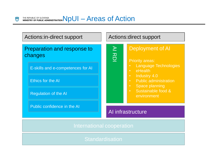THE REPUBLIC OF SLOVENIA THE REPUBLIC OF SLOVENIA<br>MINISTRY OF PUBLIC ADMINISTRATION NPUI — Areas of Action

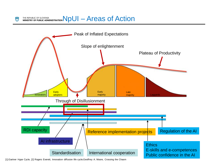THE REPUBLIC OF SLOVENIA THE REPUBLIC OF SLOVENIA<br>MINISTRY OF PUBLIC ADMINISTRATION NPUI — Areas of Action



[1]:Gartner Hype Cycle, [2] Rogers Everett, Innovation diffusion life cycle;Geoffrey A. Moore, Crossing the Chasm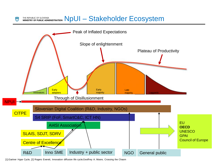#### THE REPUBLIC OF SLOVENIA **MINISTRY OF PUBLIC ADMINISTRATION** NpUI – Stakeholder Ecosystem



[1]:Gartner Hype Cycle, [2] Rogers Everett, Innovation diffusion life cycle;Geoffrey A. Moore, Crossing the Chasm